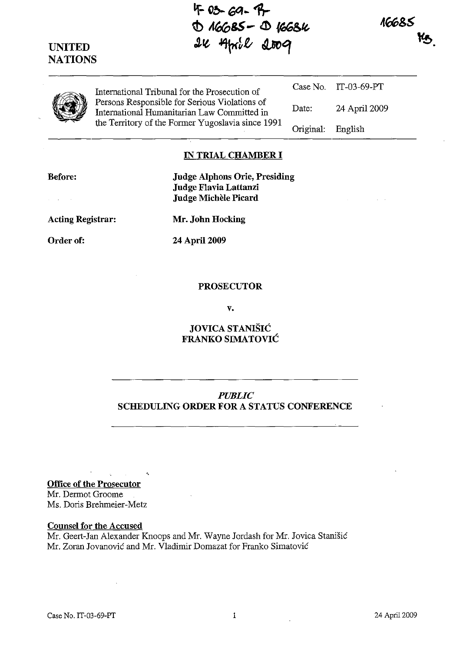**If ()b--** ~ .. 1J- D 16685 - D 1668K 24 April 2009

16685

| ٠ |
|---|
|---|

**UNITED NATIONS** 

> International Tribunal for the Prosecution of Persons Responsible for Serious Violations of International Humanitarian Law Committed in the Territory of the Former Yugoslavia since 1991

Case No. IT -03-69-PT Date: 24 April 2009 Original: English

## **IN TRIAL CHAMBER I**

**Before:** 

 $\sim$   $\sim$ 

**Judge Alphons Orie, Presiding Judge Flavia Lattanzi Judge Michele Picard** 

**Acting Registrar:** 

Order of:

**Mr. John Hocking** 

**24** April 2009

### **PROSECUTOR**

v.

## **JOVICA STANISH: FRANKO SIMATOVIC**

# *PUBLIC*  **SCHEDULING ORDER FOR A STATUS CONFERENCE**

 $\mathcal{L}^{\text{max}}(\mathbf{x})$  , where  $\mathcal{L}^{\text{max}}$ **Office of the Prosecutor**  Mr. Dermot Groome

'.

Ms. Doris Brehmeier-Metz

#### **Counsel for the Accused**

Mr. Geert-Jan Alexander Knoops and Mr. Wayne Jordash for Mr. Jovica Stanišić Mr. Zoran Jovanovic and Mr. Vladimir Domazat for Franko Simatovic